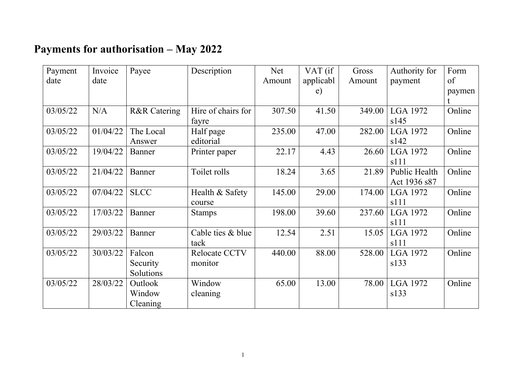## **Payments for authorisation – May 2022**

| Payment  | Invoice  | Payee                           | Description                 | Net    | VAT (if   | Gross  | Authority for                 | Form   |
|----------|----------|---------------------------------|-----------------------------|--------|-----------|--------|-------------------------------|--------|
| date     | date     |                                 |                             | Amount | applicabl | Amount | payment                       | of     |
|          |          |                                 |                             |        | e)        |        |                               | paymen |
| 03/05/22 | N/A      | <b>R&amp;R</b> Catering         | Hire of chairs for<br>fayre | 307.50 | 41.50     | 349.00 | <b>LGA 1972</b><br>s145       | Online |
| 03/05/22 | 01/04/22 | The Local<br>Answer             | Half page<br>editorial      | 235.00 | 47.00     | 282.00 | <b>LGA 1972</b><br>s142       | Online |
| 03/05/22 | 19/04/22 | Banner                          | Printer paper               | 22.17  | 4.43      | 26.60  | <b>LGA 1972</b><br>s111       | Online |
| 03/05/22 | 21/04/22 | Banner                          | Toilet rolls                | 18.24  | 3.65      | 21.89  | Public Health<br>Act 1936 s87 | Online |
| 03/05/22 | 07/04/22 | <b>SLCC</b>                     | Health & Safety<br>course   | 145.00 | 29.00     | 174.00 | <b>LGA 1972</b><br>s111       | Online |
| 03/05/22 | 17/03/22 | Banner                          | <b>Stamps</b>               | 198.00 | 39.60     | 237.60 | <b>LGA 1972</b><br>s111       | Online |
| 03/05/22 | 29/03/22 | Banner                          | Cable ties & blue<br>tack   | 12.54  | 2.51      | 15.05  | <b>LGA 1972</b><br>s111       | Online |
| 03/05/22 | 30/03/22 | Falcon<br>Security<br>Solutions | Relocate CCTV<br>monitor    | 440.00 | 88.00     | 528.00 | <b>LGA 1972</b><br>s133       | Online |
| 03/05/22 | 28/03/22 | Outlook<br>Window<br>Cleaning   | Window<br>cleaning          | 65.00  | 13.00     | 78.00  | <b>LGA 1972</b><br>s133       | Online |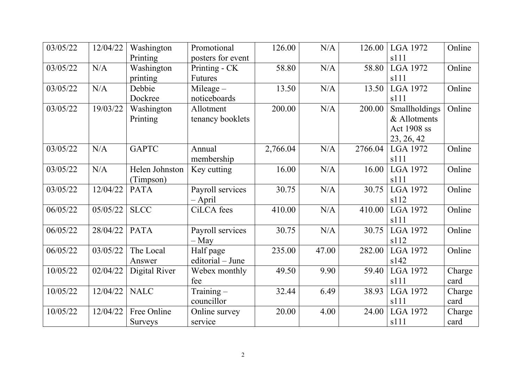| 03/05/22 | 12/04/22 | Washington     | Promotional       | 126.00   | N/A   | 126.00  | <b>LGA 1972</b> | Online |
|----------|----------|----------------|-------------------|----------|-------|---------|-----------------|--------|
|          |          | Printing       | posters for event |          |       |         | s111            |        |
| 03/05/22 | N/A      | Washington     | Printing - CK     | 58.80    | N/A   | 58.80   | <b>LGA 1972</b> | Online |
|          |          | printing       | <b>Futures</b>    |          |       |         | s111            |        |
| 03/05/22 | N/A      | Debbie         | $Mileage -$       | 13.50    | N/A   | 13.50   | <b>LGA 1972</b> | Online |
|          |          | Dockree        | noticeboards      |          |       |         | s111            |        |
| 03/05/22 | 19/03/22 | Washington     | Allotment         | 200.00   | N/A   | 200.00  | Smallholdings   | Online |
|          |          | Printing       | tenancy booklets  |          |       |         | & Allotments    |        |
|          |          |                |                   |          |       |         | Act 1908 ss     |        |
|          |          |                |                   |          |       |         | 23, 26, 42      |        |
| 03/05/22 | N/A      | <b>GAPTC</b>   | Annual            | 2,766.04 | N/A   | 2766.04 | <b>LGA 1972</b> | Online |
|          |          |                | membership        |          |       |         | s111            |        |
| 03/05/22 | N/A      | Helen Johnston | Key cutting       | 16.00    | N/A   | 16.00   | <b>LGA 1972</b> | Online |
|          |          | (Timpson)      |                   |          |       |         | s111            |        |
| 03/05/22 | 12/04/22 | <b>PATA</b>    | Payroll services  | 30.75    | N/A   | 30.75   | <b>LGA 1972</b> | Online |
|          |          |                | – April           |          |       |         | s112            |        |
| 06/05/22 | 05/05/22 | <b>SLCC</b>    | CiLCA fees        | 410.00   | N/A   | 410.00  | <b>LGA 1972</b> | Online |
|          |          |                |                   |          |       |         | s111            |        |
| 06/05/22 | 28/04/22 | <b>PATA</b>    | Payroll services  | 30.75    | N/A   | 30.75   | <b>LGA 1972</b> | Online |
|          |          |                | $-$ May           |          |       |         | s112            |        |
| 06/05/22 | 03/05/22 | The Local      | Half page         | 235.00   | 47.00 | 282.00  | <b>LGA 1972</b> | Online |
|          |          | Answer         | editorial - June  |          |       |         | s142            |        |
| 10/05/22 | 02/04/22 | Digital River  | Webex monthly     | 49.50    | 9.90  | 59.40   | <b>LGA 1972</b> | Charge |
|          |          |                | fee               |          |       |         | s111            | card   |
| 10/05/22 | 12/04/22 | <b>NALC</b>    | $Training -$      | 32.44    | 6.49  | 38.93   | <b>LGA 1972</b> | Charge |
|          |          |                | councillor        |          |       |         | s111            | card   |
| 10/05/22 | 12/04/22 | Free Online    | Online survey     | 20.00    | 4.00  | 24.00   | LGA 1972        | Charge |
|          |          | <b>Surveys</b> | service           |          |       |         | s111            | card   |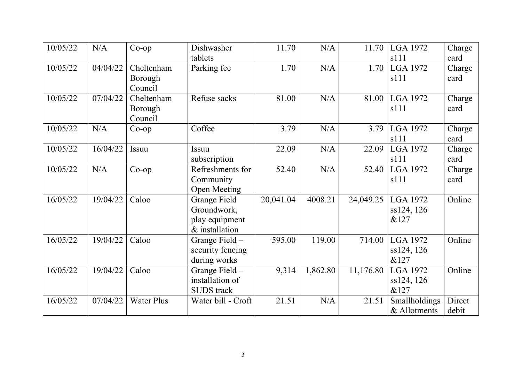| 10/05/22 | N/A      | $Co$ -op          | Dishwasher         | 11.70     | N/A      | 11.70     | <b>LGA 1972</b> | Charge |
|----------|----------|-------------------|--------------------|-----------|----------|-----------|-----------------|--------|
|          |          |                   | tablets            |           |          |           | s111            | card   |
| 10/05/22 | 04/04/22 | Cheltenham        | Parking fee        | 1.70      | N/A      | 1.70      | <b>LGA 1972</b> | Charge |
|          |          | Borough           |                    |           |          |           | s111            | card   |
|          |          | Council           |                    |           |          |           |                 |        |
| 10/05/22 | 07/04/22 | Cheltenham        | Refuse sacks       | 81.00     | N/A      | 81.00     | <b>LGA 1972</b> | Charge |
|          |          | Borough           |                    |           |          |           | s111            | card   |
|          |          | Council           |                    |           |          |           |                 |        |
| 10/05/22 | N/A      | $Co$ -op          | Coffee             | 3.79      | N/A      | 3.79      | <b>LGA 1972</b> | Charge |
|          |          |                   |                    |           |          |           | s111            | card   |
| 10/05/22 | 16/04/22 | <b>Issuu</b>      | Issuu              | 22.09     | N/A      | 22.09     | LGA 1972        | Charge |
|          |          |                   | subscription       |           |          |           | s111            | card   |
| 10/05/22 | N/A      | $Co$ -op          | Refreshments for   | 52.40     | N/A      | 52.40     | <b>LGA 1972</b> | Charge |
|          |          |                   | Community          |           |          |           | s111            | card   |
|          |          |                   | Open Meeting       |           |          |           |                 |        |
| 16/05/22 | 19/04/22 | Caloo             | Grange Field       | 20,041.04 | 4008.21  | 24,049.25 | LGA 1972        | Online |
|          |          |                   | Groundwork,        |           |          |           | ss124, 126      |        |
|          |          |                   | play equipment     |           |          |           | &127            |        |
|          |          |                   | & installation     |           |          |           |                 |        |
| 16/05/22 | 19/04/22 | Caloo             | Grange Field -     | 595.00    | 119.00   | 714.00    | <b>LGA 1972</b> | Online |
|          |          |                   | security fencing   |           |          |           | ss124, 126      |        |
|          |          |                   | during works       |           |          |           | &127            |        |
| 16/05/22 | 19/04/22 | Caloo             | Grange Field -     | 9,314     | 1,862.80 | 11,176.80 | <b>LGA 1972</b> | Online |
|          |          |                   | installation of    |           |          |           | ss124, 126      |        |
|          |          |                   | <b>SUDS</b> track  |           |          |           | &127            |        |
| 16/05/22 | 07/04/22 | <b>Water Plus</b> | Water bill - Croft | 21.51     | N/A      | 21.51     | Smallholdings   | Direct |
|          |          |                   |                    |           |          |           | & Allotments    | debit  |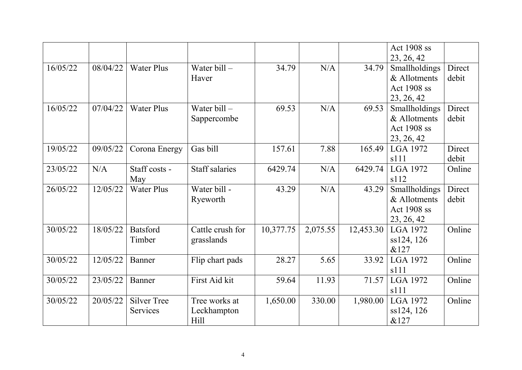|          |          |                    |                       |           |          |           | Act 1908 ss     |        |
|----------|----------|--------------------|-----------------------|-----------|----------|-----------|-----------------|--------|
|          |          |                    |                       |           |          |           | 23, 26, 42      |        |
| 16/05/22 | 08/04/22 | <b>Water Plus</b>  | Water bill $-$        | 34.79     | N/A      | 34.79     | Smallholdings   | Direct |
|          |          |                    | Haver                 |           |          |           | & Allotments    | debit  |
|          |          |                    |                       |           |          |           | Act 1908 ss     |        |
|          |          |                    |                       |           |          |           | 23, 26, 42      |        |
| 16/05/22 | 07/04/22 | <b>Water Plus</b>  | Water $bill -$        | 69.53     | N/A      | 69.53     | Smallholdings   | Direct |
|          |          |                    | Sappercombe           |           |          |           | & Allotments    | debit  |
|          |          |                    |                       |           |          |           | Act 1908 ss     |        |
|          |          |                    |                       |           |          |           | 23, 26, 42      |        |
| 19/05/22 | 09/05/22 | Corona Energy      | Gas bill              | 157.61    | 7.88     | 165.49    | LGA 1972        | Direct |
|          |          |                    |                       |           |          |           | s111            | debit  |
| 23/05/22 | N/A      | Staff costs -      | <b>Staff salaries</b> | 6429.74   | N/A      | 6429.74   | LGA 1972        | Online |
|          |          | May                |                       |           |          |           | s112            |        |
| 26/05/22 | 12/05/22 | <b>Water Plus</b>  | Water bill -          | 43.29     | N/A      | 43.29     | Smallholdings   | Direct |
|          |          |                    | Ryeworth              |           |          |           | & Allotments    | debit  |
|          |          |                    |                       |           |          |           | Act 1908 ss     |        |
|          |          |                    |                       |           |          |           | 23, 26, 42      |        |
| 30/05/22 | 18/05/22 | <b>Batsford</b>    | Cattle crush for      | 10,377.75 | 2,075.55 | 12,453.30 | LGA 1972        | Online |
|          |          | Timber             | grasslands            |           |          |           | ss124, 126      |        |
|          |          |                    |                       |           |          |           | &127            |        |
| 30/05/22 | 12/05/22 | Banner             | Flip chart pads       | 28.27     | 5.65     | 33.92     | LGA 1972        | Online |
|          |          |                    |                       |           |          |           | s111            |        |
| 30/05/22 | 23/05/22 | Banner             | First Aid kit         | 59.64     | 11.93    | 71.57     | <b>LGA 1972</b> | Online |
|          |          |                    |                       |           |          |           | s111            |        |
| 30/05/22 | 20/05/22 | <b>Silver Tree</b> | Tree works at         | 1,650.00  | 330.00   | 1,980.00  | <b>LGA 1972</b> | Online |
|          |          | Services           | Leckhampton           |           |          |           | ss124, 126      |        |
|          |          |                    | Hill                  |           |          |           | &127            |        |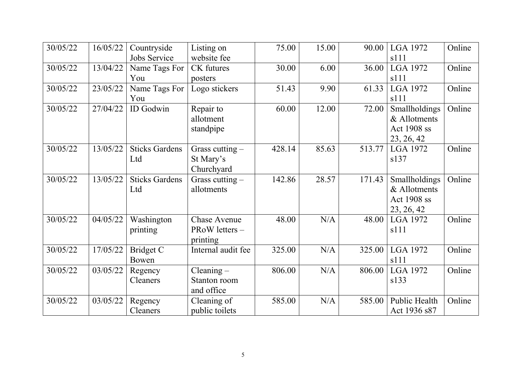| 30/05/22 | 16/05/22 | Countryside           | Listing on          | 75.00  | 15.00 | 90.00  | <b>LGA 1972</b> | Online |
|----------|----------|-----------------------|---------------------|--------|-------|--------|-----------------|--------|
|          |          | Jobs Service          | website fee         |        |       |        | s111            |        |
| 30/05/22 | 13/04/22 | Name Tags For         | CK futures          | 30.00  | 6.00  | 36.00  | <b>LGA 1972</b> | Online |
|          |          | You                   | posters             |        |       |        | s111            |        |
| 30/05/22 | 23/05/22 | Name Tags For         | Logo stickers       | 51.43  | 9.90  | 61.33  | <b>LGA 1972</b> | Online |
|          |          | You                   |                     |        |       |        | s111            |        |
| 30/05/22 | 27/04/22 | ID Godwin             | Repair to           | 60.00  | 12.00 | 72.00  | Smallholdings   | Online |
|          |          |                       | allotment           |        |       |        | & Allotments    |        |
|          |          |                       | standpipe           |        |       |        | Act 1908 ss     |        |
|          |          |                       |                     |        |       |        | 23, 26, 42      |        |
| 30/05/22 | 13/05/22 | <b>Sticks Gardens</b> | Grass cutting $-$   | 428.14 | 85.63 | 513.77 | <b>LGA 1972</b> | Online |
|          |          | Ltd                   | St Mary's           |        |       |        | s137            |        |
|          |          |                       | Churchyard          |        |       |        |                 |        |
| 30/05/22 | 13/05/22 | <b>Sticks Gardens</b> | Grass cutting $-$   | 142.86 | 28.57 | 171.43 | Smallholdings   | Online |
|          |          | Ltd                   | allotments          |        |       |        | & Allotments    |        |
|          |          |                       |                     |        |       |        | Act 1908 ss     |        |
|          |          |                       |                     |        |       |        | 23, 26, 42      |        |
| 30/05/22 | 04/05/22 | Washington            | <b>Chase Avenue</b> | 48.00  | N/A   | 48.00  | <b>LGA 1972</b> | Online |
|          |          | printing              | PRoW letters -      |        |       |        | s111            |        |
|          |          |                       | printing            |        |       |        |                 |        |
| 30/05/22 | 17/05/22 | <b>Bridget C</b>      | Internal audit fee  | 325.00 | N/A   | 325.00 | <b>LGA 1972</b> | Online |
|          |          | Bowen                 |                     |        |       |        | s111            |        |
| 30/05/22 | 03/05/22 | Regency               | $C$ leaning $-$     | 806.00 | N/A   | 806.00 | <b>LGA 1972</b> | Online |
|          |          | Cleaners              | Stanton room        |        |       |        | s133            |        |
|          |          |                       | and office          |        |       |        |                 |        |
| 30/05/22 | 03/05/22 | Regency               | Cleaning of         | 585.00 | N/A   | 585.00 | Public Health   | Online |
|          |          | Cleaners              | public toilets      |        |       |        | Act 1936 s87    |        |